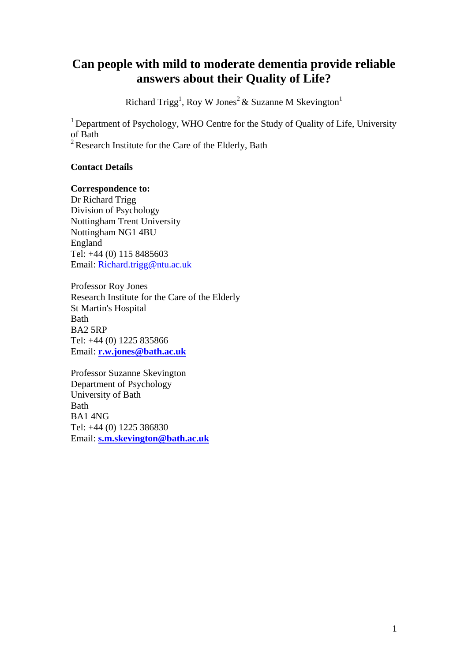# **Can people with mild to moderate dementia provide reliable answers about their Quality of Life?**

Richard Trigg<sup>1</sup>, Roy W Jones<sup>2</sup> & Suzanne M Skevington<sup>1</sup>

<sup>1</sup> Department of Psychology, WHO Centre for the Study of Quality of Life, University of Bath

 $2^2$  Research Institute for the Care of the Elderly, Bath

# **Contact Details**

## **Correspondence to:**

Dr Richard Trigg Division of Psychology Nottingham Trent University Nottingham NG1 4BU England Tel: +44 (0) 115 8485603 Email: Richard.trigg@ntu.ac.uk

Professor Roy Jones Research Institute for the Care of the Elderly St Martin's Hospital Bath BA2 5RP Tel: +44 (0) 1225 835866 Email: **[r.w.jones@bath.ac.uk](mailto:r.w.jones@bath.ac.uk)**

Professor Suzanne Skevington Department of Psychology University of Bath Bath BA1 4NG Tel: +44 (0) 1225 386830 Email: **[s.m.skevington@bath.ac.uk](mailto:s.m.skevington@bath.ac.uk)**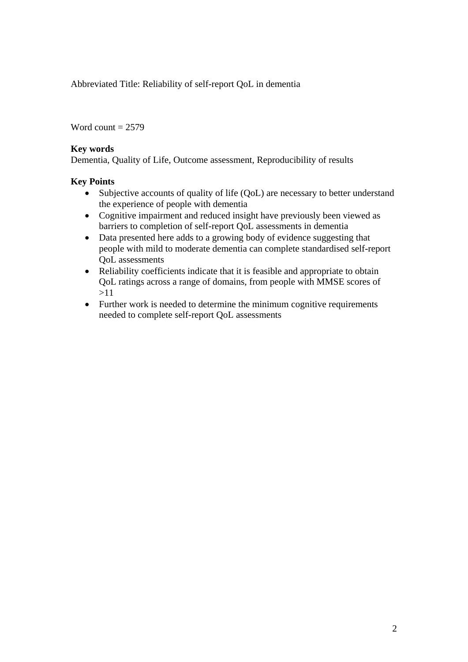Abbreviated Title: Reliability of self-report QoL in dementia

Word count  $= 2579$ 

# **Key words**

Dementia, Quality of Life, Outcome assessment, Reproducibility of results

## **Key Points**

- Subjective accounts of quality of life (QoL) are necessary to better understand the experience of people with dementia
- Cognitive impairment and reduced insight have previously been viewed as barriers to completion of self-report QoL assessments in dementia
- Data presented here adds to a growing body of evidence suggesting that people with mild to moderate dementia can complete standardised self-report QoL assessments
- Reliability coefficients indicate that it is feasible and appropriate to obtain QoL ratings across a range of domains, from people with MMSE scores of >11
- Further work is needed to determine the minimum cognitive requirements needed to complete self-report QoL assessments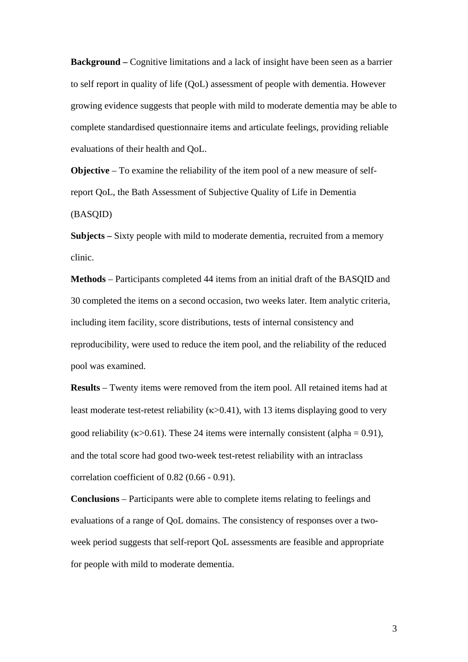**Background** – Cognitive limitations and a lack of insight have been seen as a barrier to self report in quality of life (QoL) assessment of people with dementia. However growing evidence suggests that people with mild to moderate dementia may be able to complete standardised questionnaire items and articulate feelings, providing reliable evaluations of their health and QoL.

**Objective** – To examine the reliability of the item pool of a new measure of selfreport QoL, the Bath Assessment of Subjective Quality of Life in Dementia (BASQID)

**Subjects –** Sixty people with mild to moderate dementia, recruited from a memory clinic.

**Methods** – Participants completed 44 items from an initial draft of the BASQID and 30 completed the items on a second occasion, two weeks later. Item analytic criteria, including item facility, score distributions, tests of internal consistency and reproducibility, were used to reduce the item pool, and the reliability of the reduced pool was examined.

**Results** – Twenty items were removed from the item pool. All retained items had at least moderate test-retest reliability ( $\kappa$  > 0.41), with 13 items displaying good to very good reliability ( $\kappa$ >0.61). These 24 items were internally consistent (alpha = 0.91), and the total score had good two-week test-retest reliability with an intraclass correlation coefficient of 0.82 (0.66 - 0.91).

**Conclusions** – Participants were able to complete items relating to feelings and evaluations of a range of QoL domains. The consistency of responses over a twoweek period suggests that self-report QoL assessments are feasible and appropriate for people with mild to moderate dementia.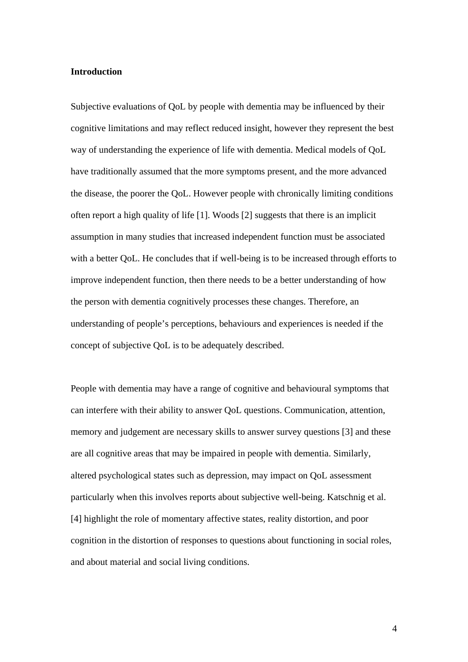#### **Introduction**

Subjective evaluations of QoL by people with dementia may be influenced by their cognitive limitations and may reflect reduced insight, however they represent the best way of understanding the experience of life with dementia. Medical models of QoL have traditionally assumed that the more symptoms present, and the more advanced the disease, the poorer the QoL. However people with chronically limiting conditions often report a high quality of life [1]. Woods [2] suggests that there is an implicit assumption in many studies that increased independent function must be associated with a better QoL. He concludes that if well-being is to be increased through efforts to improve independent function, then there needs to be a better understanding of how the person with dementia cognitively processes these changes. Therefore, an understanding of people's perceptions, behaviours and experiences is needed if the concept of subjective QoL is to be adequately described.

People with dementia may have a range of cognitive and behavioural symptoms that can interfere with their ability to answer QoL questions. Communication, attention, memory and judgement are necessary skills to answer survey questions [3] and these are all cognitive areas that may be impaired in people with dementia. Similarly, altered psychological states such as depression, may impact on QoL assessment particularly when this involves reports about subjective well-being. Katschnig et al. [4] highlight the role of momentary affective states, reality distortion, and poor cognition in the distortion of responses to questions about functioning in social roles, and about material and social living conditions.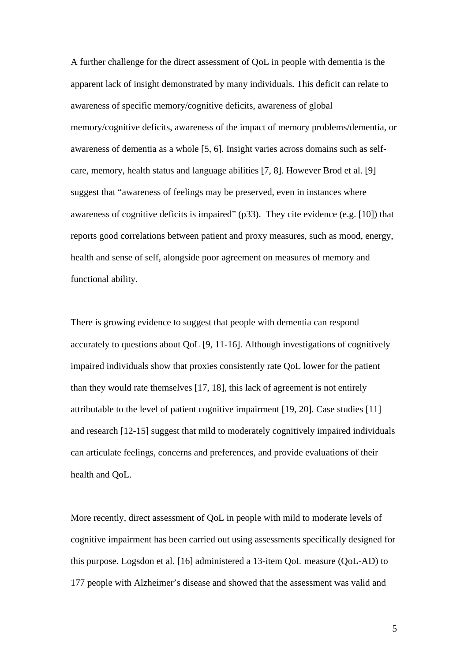A further challenge for the direct assessment of QoL in people with dementia is the apparent lack of insight demonstrated by many individuals. This deficit can relate to awareness of specific memory/cognitive deficits, awareness of global memory/cognitive deficits, awareness of the impact of memory problems/dementia, or awareness of dementia as a whole [5, 6]. Insight varies across domains such as selfcare, memory, health status and language abilities [7, 8]. However Brod et al. [9] suggest that "awareness of feelings may be preserved, even in instances where awareness of cognitive deficits is impaired" (p33). They cite evidence (e.g. [10]) that reports good correlations between patient and proxy measures, such as mood, energy, health and sense of self, alongside poor agreement on measures of memory and functional ability.

There is growing evidence to suggest that people with dementia can respond accurately to questions about QoL [9, 11-16]. Although investigations of cognitively impaired individuals show that proxies consistently rate QoL lower for the patient than they would rate themselves [17, 18], this lack of agreement is not entirely attributable to the level of patient cognitive impairment [19, 20]. Case studies [11] and research [12-15] suggest that mild to moderately cognitively impaired individuals can articulate feelings, concerns and preferences, and provide evaluations of their health and QoL.

More recently, direct assessment of QoL in people with mild to moderate levels of cognitive impairment has been carried out using assessments specifically designed for this purpose. Logsdon et al. [16] administered a 13-item QoL measure (QoL-AD) to 177 people with Alzheimer's disease and showed that the assessment was valid and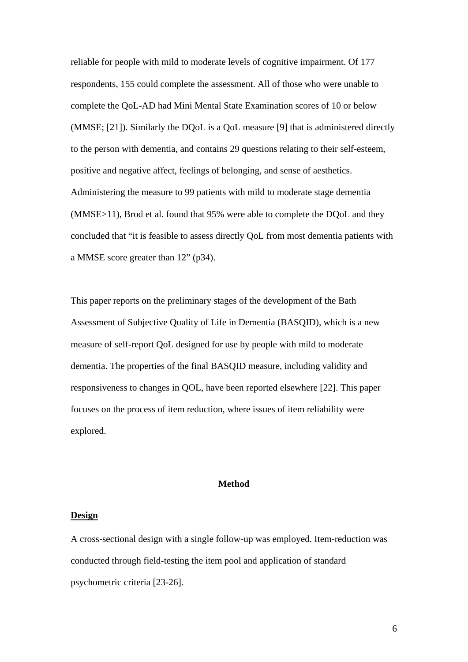reliable for people with mild to moderate levels of cognitive impairment. Of 177 respondents, 155 could complete the assessment. All of those who were unable to complete the QoL-AD had Mini Mental State Examination scores of 10 or below (MMSE; [21]). Similarly the DQoL is a QoL measure [9] that is administered directly to the person with dementia, and contains 29 questions relating to their self-esteem, positive and negative affect, feelings of belonging, and sense of aesthetics. Administering the measure to 99 patients with mild to moderate stage dementia (MMSE>11), Brod et al. found that 95% were able to complete the DQoL and they concluded that "it is feasible to assess directly QoL from most dementia patients with a MMSE score greater than 12" (p34).

This paper reports on the preliminary stages of the development of the Bath Assessment of Subjective Quality of Life in Dementia (BASQID), which is a new measure of self-report QoL designed for use by people with mild to moderate dementia. The properties of the final BASQID measure, including validity and responsiveness to changes in QOL, have been reported elsewhere [22]. This paper focuses on the process of item reduction, where issues of item reliability were explored.

#### **Method**

#### **Design**

A cross-sectional design with a single follow-up was employed. Item-reduction was conducted through field-testing the item pool and application of standard psychometric criteria [23-26].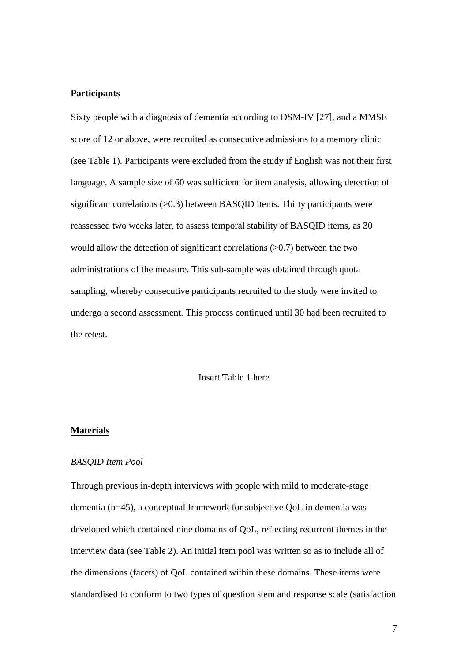#### **Participants**

Sixty people with a diagnosis of dementia according to DSM-IV [27], and a MMSE score of 12 or above, were recruited as consecutive admissions to a memory clinic (see Table 1). Participants were excluded from the study if English was not their first language. A sample size of 60 was sufficient for item analysis, allowing detection of significant correlations (>0.3) between BASQID items. Thirty participants were reassessed two weeks later, to assess temporal stability of BASQID items, as 30 would allow the detection of significant correlations  $(0.7)$  between the two administrations of the measure. This sub-sample was obtained through quota sampling, whereby consecutive participants recruited to the study were invited to undergo a second assessment. This process continued until 30 had been recruited to the retest.

Insert Table 1 here

#### **Materials**

### *BASQID Item Pool*

Through previous in-depth interviews with people with mild to moderate-stage dementia (n=45), a conceptual framework for subjective QoL in dementia was developed which contained nine domains of QoL, reflecting recurrent themes in the interview data (see Table 2). An initial item pool was written so as to include all of the dimensions (facets) of QoL contained within these domains. These items were standardised to conform to two types of question stem and response scale (satisfaction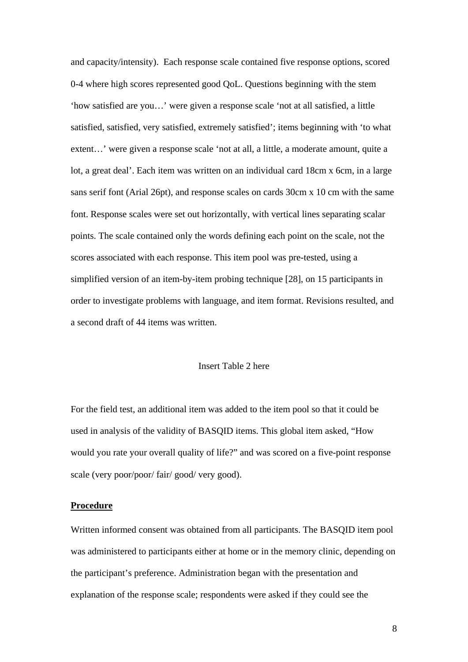and capacity/intensity). Each response scale contained five response options, scored 0-4 where high scores represented good QoL. Questions beginning with the stem 'how satisfied are you…' were given a response scale 'not at all satisfied, a little satisfied, satisfied, very satisfied, extremely satisfied'; items beginning with 'to what extent…' were given a response scale 'not at all, a little, a moderate amount, quite a lot, a great deal'. Each item was written on an individual card 18cm x 6cm, in a large sans serif font (Arial 26pt), and response scales on cards 30cm x 10 cm with the same font. Response scales were set out horizontally, with vertical lines separating scalar points. The scale contained only the words defining each point on the scale, not the scores associated with each response. This item pool was pre-tested, using a simplified version of an item-by-item probing technique [28], on 15 participants in order to investigate problems with language, and item format. Revisions resulted, and a second draft of 44 items was written.

#### Insert Table 2 here

For the field test, an additional item was added to the item pool so that it could be used in analysis of the validity of BASQID items. This global item asked, "How would you rate your overall quality of life?" and was scored on a five-point response scale (very poor/poor/ fair/ good/ very good).

#### **Procedure**

Written informed consent was obtained from all participants. The BASQID item pool was administered to participants either at home or in the memory clinic, depending on the participant's preference. Administration began with the presentation and explanation of the response scale; respondents were asked if they could see the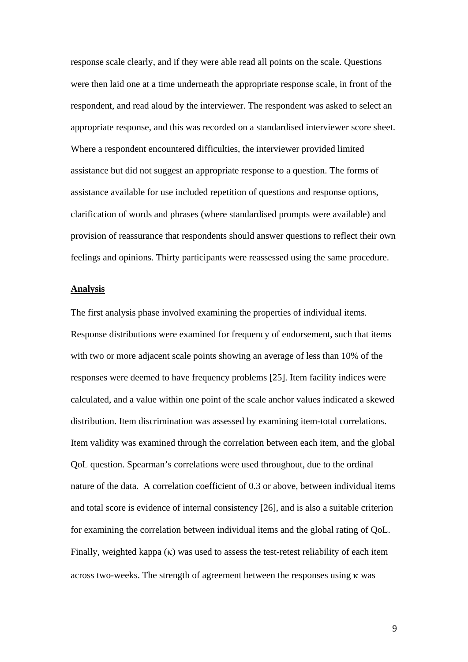response scale clearly, and if they were able read all points on the scale. Questions were then laid one at a time underneath the appropriate response scale, in front of the respondent, and read aloud by the interviewer. The respondent was asked to select an appropriate response, and this was recorded on a standardised interviewer score sheet. Where a respondent encountered difficulties, the interviewer provided limited assistance but did not suggest an appropriate response to a question. The forms of assistance available for use included repetition of questions and response options, clarification of words and phrases (where standardised prompts were available) and provision of reassurance that respondents should answer questions to reflect their own feelings and opinions. Thirty participants were reassessed using the same procedure.

#### **Analysis**

The first analysis phase involved examining the properties of individual items. Response distributions were examined for frequency of endorsement, such that items with two or more adjacent scale points showing an average of less than 10% of the responses were deemed to have frequency problems [25]. Item facility indices were calculated, and a value within one point of the scale anchor values indicated a skewed distribution. Item discrimination was assessed by examining item-total correlations. Item validity was examined through the correlation between each item, and the global QoL question. Spearman's correlations were used throughout, due to the ordinal nature of the data. A correlation coefficient of 0.3 or above, between individual items and total score is evidence of internal consistency [26], and is also a suitable criterion for examining the correlation between individual items and the global rating of QoL. Finally, weighted kappa  $(\kappa)$  was used to assess the test-retest reliability of each item across two-weeks. The strength of agreement between the responses using κ was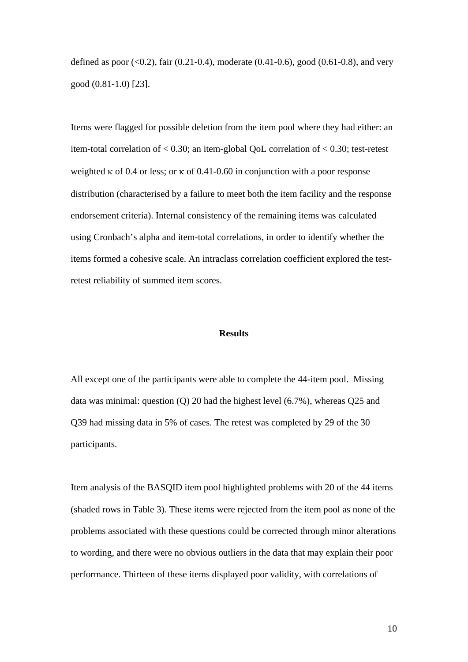defined as poor  $(<0.2$ ), fair  $(0.21-0.4)$ , moderate  $(0.41-0.6)$ , good  $(0.61-0.8)$ , and very good (0.81-1.0) [23].

Items were flagged for possible deletion from the item pool where they had either: an item-total correlation of < 0.30; an item-global QoL correlation of < 0.30; test-retest weighted  $\kappa$  of 0.4 or less; or  $\kappa$  of 0.41-0.60 in conjunction with a poor response distribution (characterised by a failure to meet both the item facility and the response endorsement criteria). Internal consistency of the remaining items was calculated using Cronbach's alpha and item-total correlations, in order to identify whether the items formed a cohesive scale. An intraclass correlation coefficient explored the testretest reliability of summed item scores.

### **Results**

All except one of the participants were able to complete the 44-item pool. Missing data was minimal: question (Q) 20 had the highest level (6.7%), whereas Q25 and Q39 had missing data in 5% of cases. The retest was completed by 29 of the 30 participants.

Item analysis of the BASQID item pool highlighted problems with 20 of the 44 items (shaded rows in Table 3). These items were rejected from the item pool as none of the problems associated with these questions could be corrected through minor alterations to wording, and there were no obvious outliers in the data that may explain their poor performance. Thirteen of these items displayed poor validity, with correlations of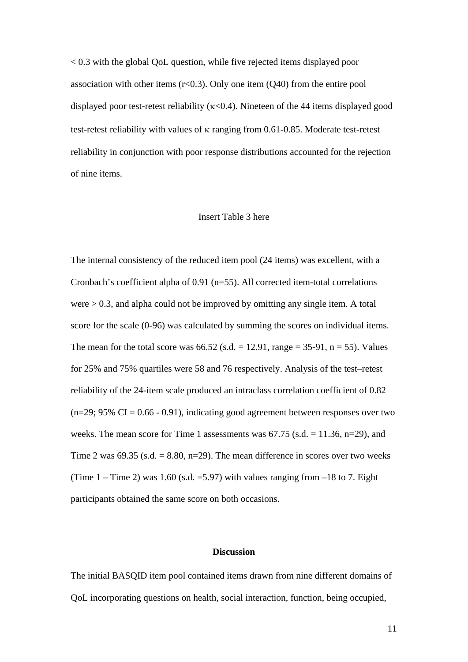< 0.3 with the global QoL question, while five rejected items displayed poor association with other items  $(r<0.3)$ . Only one item  $(Q40)$  from the entire pool displayed poor test-retest reliability (κ<0.4). Nineteen of the 44 items displayed good test-retest reliability with values of κ ranging from 0.61-0.85. Moderate test-retest reliability in conjunction with poor response distributions accounted for the rejection of nine items.

#### Insert Table 3 here

The internal consistency of the reduced item pool (24 items) was excellent, with a Cronbach's coefficient alpha of 0.91 (n=55). All corrected item-total correlations were > 0.3, and alpha could not be improved by omitting any single item. A total score for the scale (0-96) was calculated by summing the scores on individual items. The mean for the total score was  $66.52$  (s.d. = 12.91, range = 35-91, n = 55). Values for 25% and 75% quartiles were 58 and 76 respectively. Analysis of the test–retest reliability of the 24-item scale produced an intraclass correlation coefficient of 0.82  $(n=29; 95\% \text{ CI} = 0.66 - 0.91)$ , indicating good agreement between responses over two weeks. The mean score for Time 1 assessments was  $67.75$  (s.d.  $= 11.36$ , n=29), and Time 2 was 69.35 (s.d.  $= 8.80$ , n=29). The mean difference in scores over two weeks (Time  $1 -$  Time 2) was 1.60 (s.d. = 5.97) with values ranging from  $-18$  to 7. Eight participants obtained the same score on both occasions.

#### **Discussion**

The initial BASQID item pool contained items drawn from nine different domains of QoL incorporating questions on health, social interaction, function, being occupied,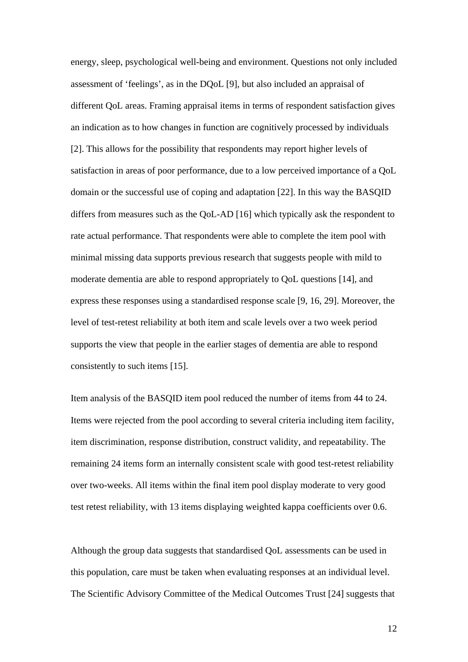energy, sleep, psychological well-being and environment. Questions not only included assessment of 'feelings', as in the DQoL [9], but also included an appraisal of different QoL areas. Framing appraisal items in terms of respondent satisfaction gives an indication as to how changes in function are cognitively processed by individuals [2]. This allows for the possibility that respondents may report higher levels of satisfaction in areas of poor performance, due to a low perceived importance of a QoL domain or the successful use of coping and adaptation [22]. In this way the BASQID differs from measures such as the QoL-AD [16] which typically ask the respondent to rate actual performance. That respondents were able to complete the item pool with minimal missing data supports previous research that suggests people with mild to moderate dementia are able to respond appropriately to QoL questions [14], and express these responses using a standardised response scale [9, 16, 29]. Moreover, the level of test-retest reliability at both item and scale levels over a two week period supports the view that people in the earlier stages of dementia are able to respond consistently to such items [15].

Item analysis of the BASQID item pool reduced the number of items from 44 to 24. Items were rejected from the pool according to several criteria including item facility, item discrimination, response distribution, construct validity, and repeatability. The remaining 24 items form an internally consistent scale with good test-retest reliability over two-weeks. All items within the final item pool display moderate to very good test retest reliability, with 13 items displaying weighted kappa coefficients over 0.6.

Although the group data suggests that standardised QoL assessments can be used in this population, care must be taken when evaluating responses at an individual level. The Scientific Advisory Committee of the Medical Outcomes Trust [24] suggests that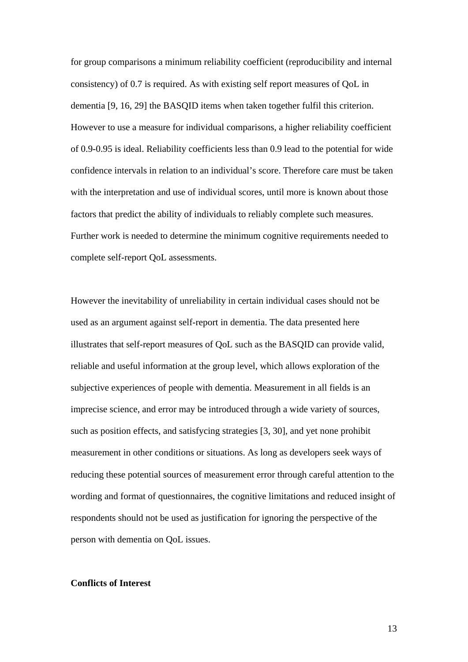for group comparisons a minimum reliability coefficient (reproducibility and internal consistency) of 0.7 is required. As with existing self report measures of QoL in dementia [9, 16, 29] the BASQID items when taken together fulfil this criterion. However to use a measure for individual comparisons, a higher reliability coefficient of 0.9-0.95 is ideal. Reliability coefficients less than 0.9 lead to the potential for wide confidence intervals in relation to an individual's score. Therefore care must be taken with the interpretation and use of individual scores, until more is known about those factors that predict the ability of individuals to reliably complete such measures. Further work is needed to determine the minimum cognitive requirements needed to complete self-report QoL assessments.

However the inevitability of unreliability in certain individual cases should not be used as an argument against self-report in dementia. The data presented here illustrates that self-report measures of QoL such as the BASQID can provide valid, reliable and useful information at the group level, which allows exploration of the subjective experiences of people with dementia. Measurement in all fields is an imprecise science, and error may be introduced through a wide variety of sources, such as position effects, and satisfycing strategies [3, 30], and yet none prohibit measurement in other conditions or situations. As long as developers seek ways of reducing these potential sources of measurement error through careful attention to the wording and format of questionnaires, the cognitive limitations and reduced insight of respondents should not be used as justification for ignoring the perspective of the person with dementia on QoL issues.

## **Conflicts of Interest**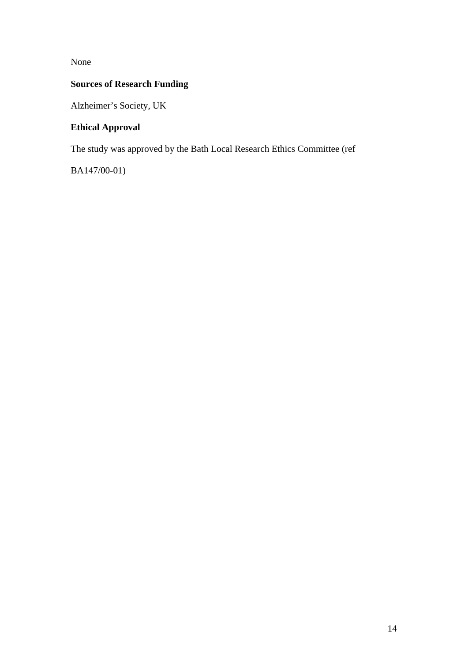None

# **Sources of Research Funding**

Alzheimer's Society, UK

# **Ethical Approval**

The study was approved by the Bath Local Research Ethics Committee (ref

BA147/00-01)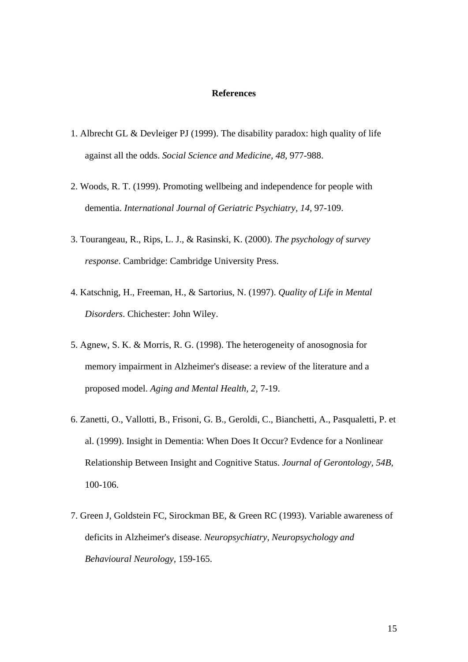#### **References**

- 1. Albrecht GL & Devleiger PJ (1999). The disability paradox: high quality of life against all the odds. *Social Science and Medicine, 48,* 977-988.
- 2. Woods, R. T. (1999). Promoting wellbeing and independence for people with dementia. *International Journal of Geriatric Psychiatry, 14,* 97-109.
- 3. Tourangeau, R., Rips, L. J., & Rasinski, K. (2000). *The psychology of survey response*. Cambridge: Cambridge University Press.
- 4. Katschnig, H., Freeman, H., & Sartorius, N. (1997). *Quality of Life in Mental Disorders*. Chichester: John Wiley.
- 5. Agnew, S. K. & Morris, R. G. (1998). The heterogeneity of anosognosia for memory impairment in Alzheimer's disease: a review of the literature and a proposed model. *Aging and Mental Health, 2,* 7-19.
- 6. Zanetti, O., Vallotti, B., Frisoni, G. B., Geroldi, C., Bianchetti, A., Pasqualetti, P. et al. (1999). Insight in Dementia: When Does It Occur? Evdence for a Nonlinear Relationship Between Insight and Cognitive Status. *Journal of Gerontology, 54B,* 100-106.
- 7. Green J, Goldstein FC, Sirockman BE, & Green RC (1993). Variable awareness of deficits in Alzheimer's disease. *Neuropsychiatry, Neuropsychology and Behavioural Neurology,* 159-165.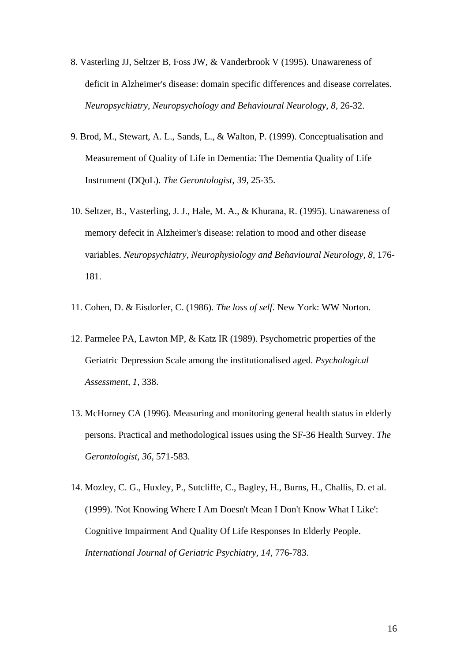- 8. Vasterling JJ, Seltzer B, Foss JW, & Vanderbrook V (1995). Unawareness of deficit in Alzheimer's disease: domain specific differences and disease correlates. *Neuropsychiatry, Neuropsychology and Behavioural Neurology, 8,* 26-32.
- 9. Brod, M., Stewart, A. L., Sands, L., & Walton, P. (1999). Conceptualisation and Measurement of Quality of Life in Dementia: The Dementia Quality of Life Instrument (DQoL). *The Gerontologist, 39,* 25-35.
- 10. Seltzer, B., Vasterling, J. J., Hale, M. A., & Khurana, R. (1995). Unawareness of memory defecit in Alzheimer's disease: relation to mood and other disease variables. *Neuropsychiatry, Neurophysiology and Behavioural Neurology, 8,* 176- 181.
- 11. Cohen, D. & Eisdorfer, C. (1986). *The loss of self*. New York: WW Norton.
- 12. Parmelee PA, Lawton MP, & Katz IR (1989). Psychometric properties of the Geriatric Depression Scale among the institutionalised aged. *Psychological Assessment, 1,* 338.
- 13. McHorney CA (1996). Measuring and monitoring general health status in elderly persons. Practical and methodological issues using the SF-36 Health Survey. *The Gerontologist, 36,* 571-583.
- 14. Mozley, C. G., Huxley, P., Sutcliffe, C., Bagley, H., Burns, H., Challis, D. et al. (1999). 'Not Knowing Where I Am Doesn't Mean I Don't Know What I Like': Cognitive Impairment And Quality Of Life Responses In Elderly People. *International Journal of Geriatric Psychiatry, 14,* 776-783.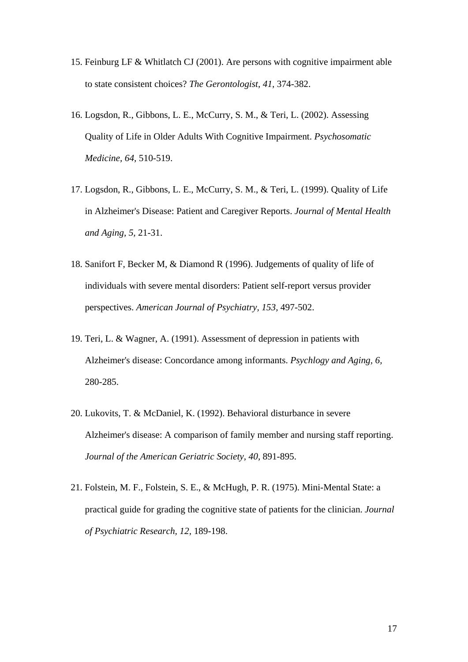- 15. Feinburg LF & Whitlatch CJ (2001). Are persons with cognitive impairment able to state consistent choices? *The Gerontologist, 41,* 374-382.
- 16. Logsdon, R., Gibbons, L. E., McCurry, S. M., & Teri, L. (2002). Assessing Quality of Life in Older Adults With Cognitive Impairment. *Psychosomatic Medicine, 64,* 510-519.
- 17. Logsdon, R., Gibbons, L. E., McCurry, S. M., & Teri, L. (1999). Quality of Life in Alzheimer's Disease: Patient and Caregiver Reports. *Journal of Mental Health and Aging, 5,* 21-31.
- 18. Sanifort F, Becker M, & Diamond R (1996). Judgements of quality of life of individuals with severe mental disorders: Patient self-report versus provider perspectives. *American Journal of Psychiatry, 153,* 497-502.
- 19. Teri, L. & Wagner, A. (1991). Assessment of depression in patients with Alzheimer's disease: Concordance among informants. *Psychlogy and Aging, 6,* 280-285.
- 20. Lukovits, T. & McDaniel, K. (1992). Behavioral disturbance in severe Alzheimer's disease: A comparison of family member and nursing staff reporting. *Journal of the American Geriatric Society, 40,* 891-895.
- 21. Folstein, M. F., Folstein, S. E., & McHugh, P. R. (1975). Mini-Mental State: a practical guide for grading the cognitive state of patients for the clinician. *Journal of Psychiatric Research, 12,* 189-198.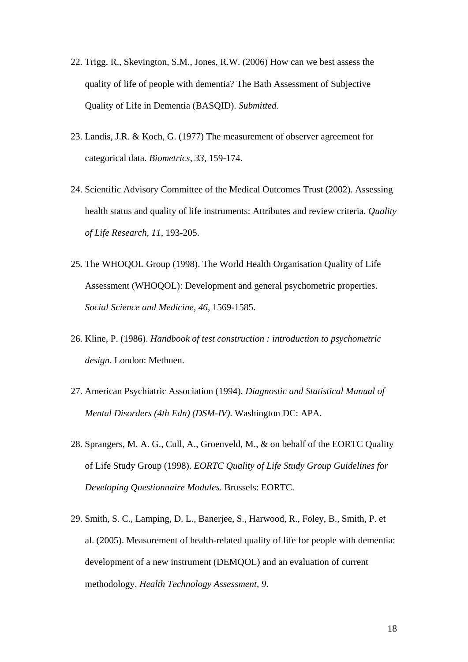- 22. Trigg, R., Skevington, S.M., Jones, R.W. (2006) How can we best assess the quality of life of people with dementia? The Bath Assessment of Subjective Quality of Life in Dementia (BASQID). *Submitted.*
- 23. Landis, J.R. & Koch, G. (1977) The measurement of observer agreement for categorical data. *Biometrics*, *33*, 159-174.
- 24. Scientific Advisory Committee of the Medical Outcomes Trust (2002). Assessing health status and quality of life instruments: Attributes and review criteria. *Quality of Life Research, 11,* 193-205.
- 25. The WHOQOL Group (1998). The World Health Organisation Quality of Life Assessment (WHOQOL): Development and general psychometric properties. *Social Science and Medicine, 46,* 1569-1585.
- 26. Kline, P. (1986). *Handbook of test construction : introduction to psychometric design*. London: Methuen.
- 27. American Psychiatric Association (1994). *Diagnostic and Statistical Manual of Mental Disorders (4th Edn) (DSM-IV)*. Washington DC: APA.
- 28. Sprangers, M. A. G., Cull, A., Groenveld, M., & on behalf of the EORTC Quality of Life Study Group (1998). *EORTC Quality of Life Study Group Guidelines for Developing Questionnaire Modules*. Brussels: EORTC.
- 29. Smith, S. C., Lamping, D. L., Banerjee, S., Harwood, R., Foley, B., Smith, P. et al. (2005). Measurement of health-related quality of life for people with dementia: development of a new instrument (DEMQOL) and an evaluation of current methodology. *Health Technology Assessment, 9*.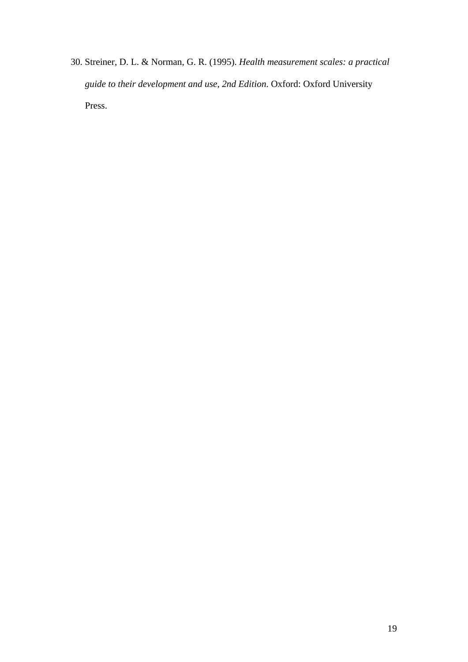30. Streiner, D. L. & Norman, G. R. (1995). *Health measurement scales: a practical guide to their development and use, 2nd Edition*. Oxford: Oxford University Press.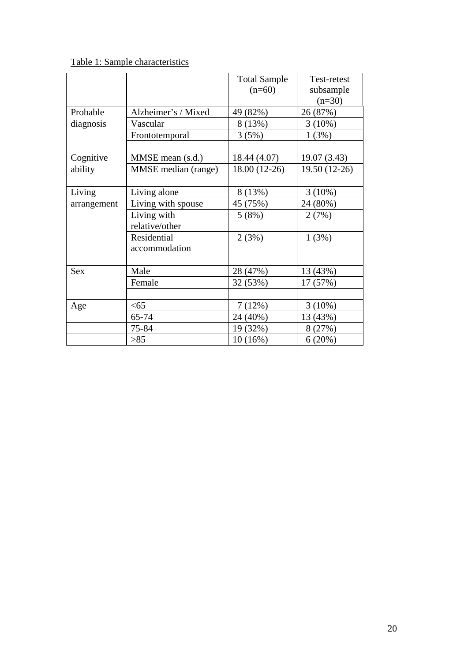# Table 1: Sample characteristics

|             |                     | <b>Total Sample</b> | Test-retest   |  |  |
|-------------|---------------------|---------------------|---------------|--|--|
|             |                     | $(n=60)$            | subsample     |  |  |
|             |                     |                     | $(n=30)$      |  |  |
| Probable    | Alzheimer's / Mixed | 49 (82%)            | 26 (87%)      |  |  |
| diagnosis   | Vascular            | 8(13%)              | $3(10\%)$     |  |  |
|             | Frontotemporal      | 3(5%)               | 1(3%)         |  |  |
|             |                     |                     |               |  |  |
| Cognitive   | MMSE mean (s.d.)    | 18.44 (4.07)        | 19.07 (3.43)  |  |  |
| ability     | MMSE median (range) | 18.00 (12-26)       | 19.50 (12-26) |  |  |
|             |                     |                     |               |  |  |
| Living      | Living alone        | 8(13%)              | $3(10\%)$     |  |  |
| arrangement | Living with spouse  | 45 (75%)            | 24 (80%)      |  |  |
|             | Living with         | 5(8%)               | 2(7%)         |  |  |
|             | relative/other      |                     |               |  |  |
|             | Residential         | 2(3%)               | 1(3%)         |  |  |
|             | accommodation       |                     |               |  |  |
|             |                     |                     |               |  |  |
| <b>Sex</b>  | Male                | 28 (47%)            | 13 (43%)      |  |  |
|             | Female              | 32 (53%)            | 17 (57%)      |  |  |
|             |                     |                     |               |  |  |
| Age         | <65                 |                     | $3(10\%)$     |  |  |
|             | 65-74               | 24 (40%)            | 13 (43%)      |  |  |
|             | 75-84               | 19 (32%)            | 8(27%)        |  |  |
|             | $>85$               | $10(16\%)$          | 6(20%)        |  |  |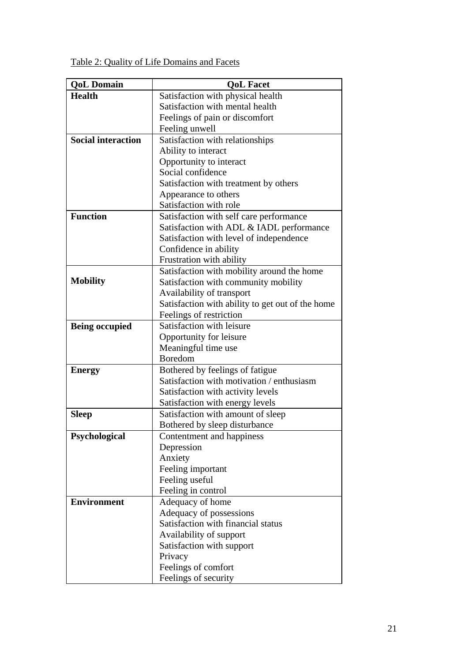Table 2: Quality of Life Domains and Facets

| <b>QoL Domain</b>         | <b>OoL Facet</b>                                 |  |  |  |  |  |  |
|---------------------------|--------------------------------------------------|--|--|--|--|--|--|
| <b>Health</b>             | Satisfaction with physical health                |  |  |  |  |  |  |
|                           | Satisfaction with mental health                  |  |  |  |  |  |  |
|                           | Feelings of pain or discomfort                   |  |  |  |  |  |  |
|                           | Feeling unwell                                   |  |  |  |  |  |  |
| <b>Social interaction</b> | Satisfaction with relationships                  |  |  |  |  |  |  |
|                           | Ability to interact                              |  |  |  |  |  |  |
|                           | Opportunity to interact                          |  |  |  |  |  |  |
|                           | Social confidence                                |  |  |  |  |  |  |
|                           | Satisfaction with treatment by others            |  |  |  |  |  |  |
|                           | Appearance to others                             |  |  |  |  |  |  |
|                           | Satisfaction with role                           |  |  |  |  |  |  |
| <b>Function</b>           | Satisfaction with self care performance          |  |  |  |  |  |  |
|                           | Satisfaction with ADL & IADL performance         |  |  |  |  |  |  |
|                           | Satisfaction with level of independence          |  |  |  |  |  |  |
|                           | Confidence in ability                            |  |  |  |  |  |  |
|                           | Frustration with ability                         |  |  |  |  |  |  |
|                           | Satisfaction with mobility around the home       |  |  |  |  |  |  |
| <b>Mobility</b>           | Satisfaction with community mobility             |  |  |  |  |  |  |
|                           | Availability of transport                        |  |  |  |  |  |  |
|                           | Satisfaction with ability to get out of the home |  |  |  |  |  |  |
|                           | Feelings of restriction                          |  |  |  |  |  |  |
| <b>Being occupied</b>     | Satisfaction with leisure                        |  |  |  |  |  |  |
|                           | Opportunity for leisure                          |  |  |  |  |  |  |
|                           | Meaningful time use                              |  |  |  |  |  |  |
|                           | Boredom                                          |  |  |  |  |  |  |
| <b>Energy</b>             | Bothered by feelings of fatigue                  |  |  |  |  |  |  |
|                           | Satisfaction with motivation / enthusiasm        |  |  |  |  |  |  |
|                           | Satisfaction with activity levels                |  |  |  |  |  |  |
|                           | Satisfaction with energy levels                  |  |  |  |  |  |  |
| <b>Sleep</b>              | Satisfaction with amount of sleep                |  |  |  |  |  |  |
|                           | Bothered by sleep disturbance                    |  |  |  |  |  |  |
| Psychological             | Contentment and happiness                        |  |  |  |  |  |  |
|                           | Depression                                       |  |  |  |  |  |  |
|                           | Anxiety                                          |  |  |  |  |  |  |
|                           | Feeling important                                |  |  |  |  |  |  |
|                           | Feeling useful                                   |  |  |  |  |  |  |
|                           | Feeling in control                               |  |  |  |  |  |  |
| <b>Environment</b>        | Adequacy of home                                 |  |  |  |  |  |  |
|                           | Adequacy of possessions                          |  |  |  |  |  |  |
|                           | Satisfaction with financial status               |  |  |  |  |  |  |
|                           | Availability of support                          |  |  |  |  |  |  |
|                           | Satisfaction with support                        |  |  |  |  |  |  |
|                           | Privacy                                          |  |  |  |  |  |  |
|                           | Feelings of comfort                              |  |  |  |  |  |  |
|                           | Feelings of security                             |  |  |  |  |  |  |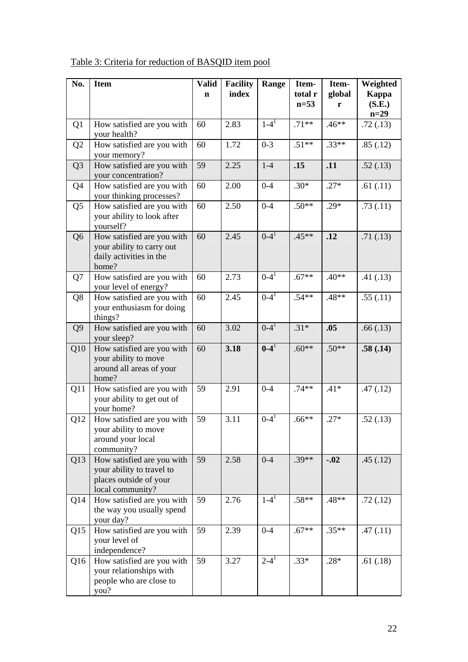| No.            | <b>Item</b>                                                                                           | <b>Valid</b> | <b>Facility</b> | Range                  | Item-             | Item-       | Weighted                  |
|----------------|-------------------------------------------------------------------------------------------------------|--------------|-----------------|------------------------|-------------------|-------------|---------------------------|
|                |                                                                                                       | $\mathbf n$  | index           |                        | total r<br>$n=53$ | global<br>r | Kappa<br>(S.E.)<br>$n=29$ |
| Q <sub>1</sub> | How satisfied are you with<br>your health?                                                            | 60           | 2.83            | $1 - 4^1$              | $.71**$           | $.46**$     | .72(.13)                  |
| Q <sub>2</sub> | How satisfied are you with<br>your memory?                                                            | 60           | 1.72            | $0 - 3$                | $.51**$           | $.33**$     | .85(.12)                  |
| Q <sub>3</sub> | How satisfied are you with<br>your concentration?                                                     | 59           | 2.25            | $1-4$                  | .15               | .11         | .52(.13)                  |
| Q4             | How satisfied are you with<br>your thinking processes?                                                | 60           | 2.00            | $0 - 4$                | $.30*$            | $.27*$      | .61(.11)                  |
| Q <sub>5</sub> | How satisfied are you with<br>your ability to look after<br>yourself?                                 | 60           | 2.50            | $0 - 4$                | $.50**$           | $.29*$      | .73(.11)                  |
| Q <sub>6</sub> | How satisfied are you with<br>your ability to carry out<br>daily activities in the<br>home?           | 60           | 2.45            | $0 - 4^1$              | $.45**$           | .12         | .71(.13)                  |
| Q7             | How satisfied are you with<br>your level of energy?                                                   | 60           | 2.73            | $0 - 41$               | $.67**$           | $.40**$     | .41(.13)                  |
| Q <sub>8</sub> | How satisfied are you with<br>your enthusiasm for doing<br>things?                                    | 60           | 2.45            | $0 - 4^{\overline{1}}$ | $.54**$           | .48**       | .55(.11)                  |
| Q <sub>9</sub> | How satisfied are you with<br>your sleep?                                                             | 60           | 3.02            | $0 - 4^1$              | $.31*$            | .05         | .66(.13)                  |
| Q10            | How satisfied are you with<br>your ability to move<br>around all areas of your<br>home?               | 60           | 3.18            | $0 - 41$               | $.60**$           | $.50**$     | .58(.14)                  |
| Q11            | How satisfied are you with<br>your ability to get out of<br>your home?                                | 59           | 2.91            | $0 - 4$                | $.74**$           | $.41*$      | .47(.12)                  |
| Q12            | How satisfied are you with<br>your ability to move<br>around your local<br>community?                 | 59           | 3.11            | $0 - 4^1$              | $.66**$           | $.27*$      | .52(.13)                  |
| Q13            | How satisfied are you with<br>your ability to travel to<br>places outside of your<br>local community? | 59           | 2.58            | $0 - 4$                | $.39**$           | $-.02$      | .45(.12)                  |
| Q14            | How satisfied are you with<br>the way you usually spend<br>your day?                                  | 59           | 2.76            | $1-4^1$                | $.58**$           | .48**       | .72(.12)                  |
| Q15            | How satisfied are you with<br>your level of<br>independence?                                          | 59           | 2.39            | $0 - 4$                | $.67**$           | $.35**$     | .47(.11)                  |
| Q16            | How satisfied are you with<br>your relationships with<br>people who are close to<br>you?              | 59           | 3.27            | $2 - 4^1$              | $.33*$            | $.28*$      | .61(.18)                  |

Table 3: Criteria for reduction of BASQID item pool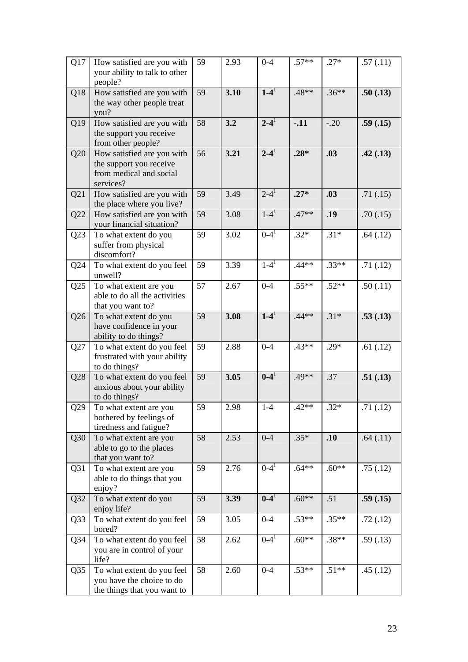| Q17             | How satisfied are you with<br>your ability to talk to other<br>people?                        | 59 | 2.93 | $0 - 4$            | $.57**$  | $.27*$  | .57(.11) |
|-----------------|-----------------------------------------------------------------------------------------------|----|------|--------------------|----------|---------|----------|
| Q18             | How satisfied are you with<br>the way other people treat<br>you?                              | 59 | 3.10 | $1-4$ <sup>1</sup> | .48**    | $.36**$ | .50(.13) |
| Q19             | How satisfied are you with<br>the support you receive<br>from other people?                   | 58 | 3.2  | $2 - 4^1$          | $-.11$   | $-.20$  | .59(.15) |
| Q20             | How satisfied are you with<br>the support you receive<br>from medical and social<br>services? | 56 | 3.21 | $2 - 41$           | $.28*$   | .03     | .42(.13) |
| Q21             | How satisfied are you with<br>the place where you live?                                       | 59 | 3.49 | $2 - 4^1$          | $.27*$   | .03     | .71(.15) |
| Q22             | How satisfied are you with<br>your financial situation?                                       | 59 | 3.08 | $1 - 4^1$          | $.47**$  | .19     | .70(.15) |
| Q23             | To what extent do you<br>suffer from physical<br>discomfort?                                  | 59 | 3.02 | $0 - 4^1$          | $.32*$   | $.31*$  | .64(.12) |
| Q24             | To what extent do you feel<br>unwell?                                                         | 59 | 3.39 | $1 - 4^1$          | $.44**$  | $.33**$ | .71(.12) |
| Q25             | To what extent are you<br>able to do all the activities<br>that you want to?                  | 57 | 2.67 | $0 - 4$            | $.55***$ | $.52**$ | .50(.11) |
| Q26             | To what extent do you<br>have confidence in your<br>ability to do things?                     | 59 | 3.08 | $1 - 4^1$          | $.44**$  | $.31*$  | .53(.13) |
| Q27             | To what extent do you feel<br>frustrated with your ability<br>to do things?                   | 59 | 2.88 | $0 - 4$            | $.43**$  | $.29*$  | .61(.12) |
| Q28             | To what extent do you feel<br>anxious about your ability<br>to do things?                     | 59 | 3.05 | $0 - 41$           | .49**    | .37     | .51(.13) |
| Q29             | To what extent are you<br>bothered by feelings of<br>tiredness and fatigue?                   | 59 | 2.98 | $1 - 4$            | $.42**$  | $.32*$  | .71(.12) |
| Q30             | To what extent are you<br>able to go to the places<br>that you want to?                       | 58 | 2.53 | $0 - 4$            | $.35*$   | .10     | .64(.11) |
| Q31             | To what extent are you<br>able to do things that you<br>enjoy?                                | 59 | 2.76 | $0 - 4^1$          | $.64***$ | $.60**$ | .75(.12) |
| Q <sub>32</sub> | To what extent do you<br>enjoy life?                                                          | 59 | 3.39 | $0 - 4^1$          | $.60**$  | .51     | .59(.15) |
| Q <sub>33</sub> | To what extent do you feel<br>bored?                                                          | 59 | 3.05 | $0 - 4$            | $.53**$  | $.35**$ | .72(.12) |
| Q <sub>34</sub> | To what extent do you feel<br>you are in control of your<br>life?                             | 58 | 2.62 | $0 - 41$           | $.60**$  | $.38**$ | .59(.13) |
| Q <sub>35</sub> | To what extent do you feel<br>you have the choice to do<br>the things that you want to        | 58 | 2.60 | $0 - 4$            | $.53**$  | $.51**$ | .45(.12) |